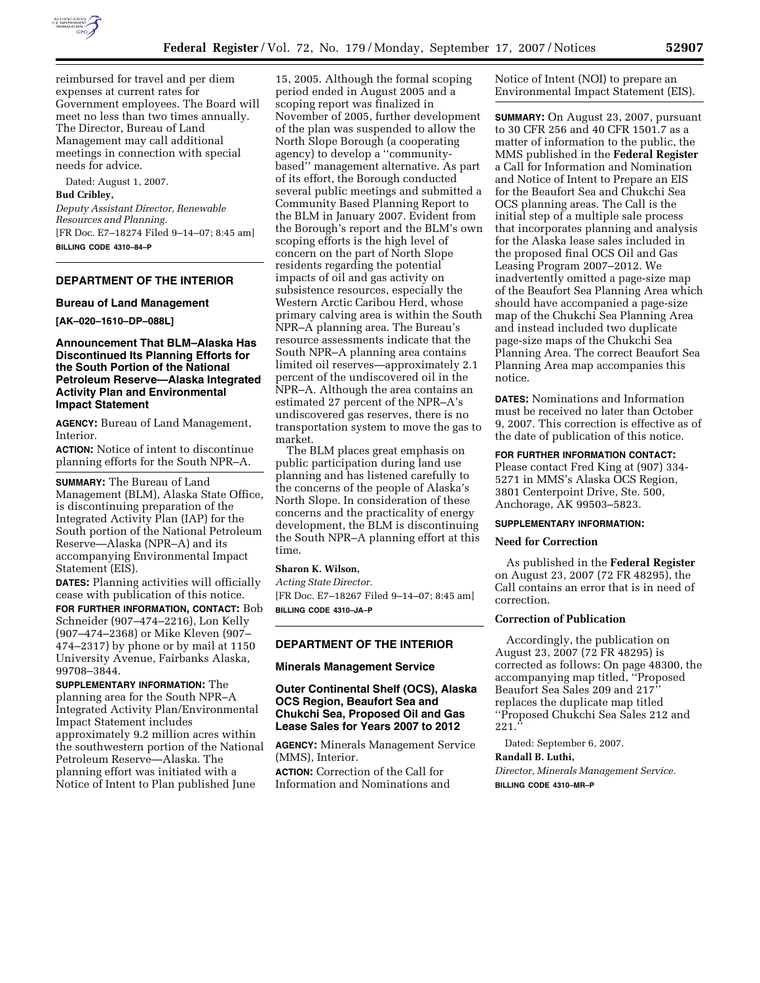

reimbursed for travel and per diem expenses at current rates for Government employees. The Board will meet no less than two times annually. The Director, Bureau of Land Management may call additional meetings in connection with special needs for advice.

Dated: August 1, 2007.

### **Bud Cribley,**

*Deputy Assistant Director, Renewable Resources and Planning.*  [FR Doc. E7–18274 Filed 9–14–07; 8:45 am] **BILLING CODE 4310–84–P** 

### **DEPARTMENT OF THE INTERIOR**

#### **Bureau of Land Management**

**[AK–020–1610–DP–088L]** 

## **Announcement That BLM–Alaska Has Discontinued Its Planning Efforts for the South Portion of the National Petroleum Reserve—Alaska Integrated Activity Plan and Environmental Impact Statement**

**AGENCY:** Bureau of Land Management, Interior.

**ACTION:** Notice of intent to discontinue planning efforts for the South NPR–A.

**SUMMARY:** The Bureau of Land Management (BLM), Alaska State Office, is discontinuing preparation of the Integrated Activity Plan (IAP) for the South portion of the National Petroleum Reserve—Alaska (NPR–A) and its accompanying Environmental Impact Statement (EIS).

**DATES:** Planning activities will officially cease with publication of this notice.

**FOR FURTHER INFORMATION, CONTACT:** Bob Schneider (907–474–2216), Lon Kelly (907–474–2368) or Mike Kleven (907– 474–2317) by phone or by mail at 1150 University Avenue, Fairbanks Alaska, 99708–3844.

**SUPPLEMENTARY INFORMATION:** The planning area for the South NPR–A Integrated Activity Plan/Environmental Impact Statement includes approximately 9.2 million acres within the southwestern portion of the National Petroleum Reserve—Alaska. The planning effort was initiated with a Notice of Intent to Plan published June

15, 2005. Although the formal scoping period ended in August 2005 and a scoping report was finalized in November of 2005, further development of the plan was suspended to allow the North Slope Borough (a cooperating agency) to develop a ''communitybased'' management alternative. As part of its effort, the Borough conducted several public meetings and submitted a Community Based Planning Report to the BLM in January 2007. Evident from the Borough's report and the BLM's own scoping efforts is the high level of concern on the part of North Slope residents regarding the potential impacts of oil and gas activity on subsistence resources, especially the Western Arctic Caribou Herd, whose primary calving area is within the South NPR–A planning area. The Bureau's resource assessments indicate that the South NPR–A planning area contains limited oil reserves—approximately 2.1 percent of the undiscovered oil in the NPR–A. Although the area contains an estimated 27 percent of the NPR–A's undiscovered gas reserves, there is no transportation system to move the gas to market.

The BLM places great emphasis on public participation during land use planning and has listened carefully to the concerns of the people of Alaska's North Slope. In consideration of these concerns and the practicality of energy development, the BLM is discontinuing the South NPR–A planning effort at this time.

### **Sharon K. Wilson,**

*Acting State Director.*  [FR Doc. E7–18267 Filed 9–14–07; 8:45 am] **BILLING CODE 4310–JA–P** 

**DEPARTMENT OF THE INTERIOR** 

### **Minerals Management Service**

## **Outer Continental Shelf (OCS), Alaska OCS Region, Beaufort Sea and Chukchi Sea, Proposed Oil and Gas Lease Sales for Years 2007 to 2012**

**AGENCY:** Minerals Management Service (MMS), Interior.

**ACTION:** Correction of the Call for Information and Nominations and Notice of Intent (NOI) to prepare an Environmental Impact Statement (EIS).

**SUMMARY:** On August 23, 2007, pursuant to 30 CFR 256 and 40 CFR 1501.7 as a matter of information to the public, the MMS published in the **Federal Register**  a Call for Information and Nomination and Notice of Intent to Prepare an EIS for the Beaufort Sea and Chukchi Sea OCS planning areas. The Call is the initial step of a multiple sale process that incorporates planning and analysis for the Alaska lease sales included in the proposed final OCS Oil and Gas Leasing Program 2007–2012. We inadvertently omitted a page-size map of the Beaufort Sea Planning Area which should have accompanied a page-size map of the Chukchi Sea Planning Area and instead included two duplicate page-size maps of the Chukchi Sea Planning Area. The correct Beaufort Sea Planning Area map accompanies this notice.

**DATES:** Nominations and Information must be received no later than October 9, 2007. This correction is effective as of the date of publication of this notice.

### **FOR FURTHER INFORMATION CONTACT:**

Please contact Fred King at (907) 334- 5271 in MMS's Alaska OCS Region, 3801 Centerpoint Drive, Ste. 500, Anchorage, AK 99503–5823.

## **SUPPLEMENTARY INFORMATION:**

### **Need for Correction**

As published in the **Federal Register**  on August 23, 2007 (72 FR 48295), the Call contains an error that is in need of correction.

## **Correction of Publication**

Accordingly, the publication on August 23, 2007 (72 FR 48295) is corrected as follows: On page 48300, the accompanying map titled, ''Proposed Beaufort Sea Sales 209 and 217'' replaces the duplicate map titled ''Proposed Chukchi Sea Sales 212 and 221.''

Dated: September 6, 2007.

# **Randall B. Luthi,**

*Director, Minerals Management Service.*  **BILLING CODE 4310–MR–P**